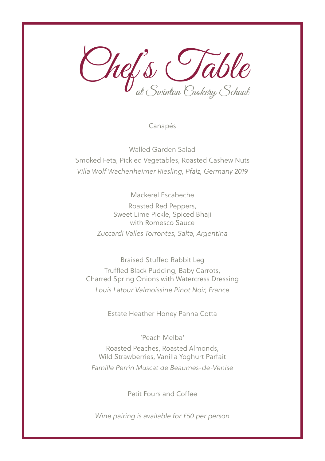Chef's Table at Swinton Cookery School

Canapés

Walled Garden Salad Smoked Feta, Pickled Vegetables, Roasted Cashew Nuts *Villa Wolf Wachenheimer Riesling, Pfalz, Germany 2019*

Mackerel Escabeche

Roasted Red Peppers, Sweet Lime Pickle, Spiced Bhaji with Romesco Sauce *Zuccardi Valles Torrontes, Salta, Argentina*

Braised Stuffed Rabbit Leg Truffled Black Pudding, Baby Carrots, Charred Spring Onions with Watercress Dressing *Louis Latour Valmoissine Pinot Noir, France*

Estate Heather Honey Panna Cotta

'Peach Melba' Roasted Peaches, Roasted Almonds, Wild Strawberries, Vanilla Yoghurt Parfait *Famille Perrin Muscat de Beaumes-de-Venise*

Petit Fours and Coffee

*Wine pairing is available for £50 per person*